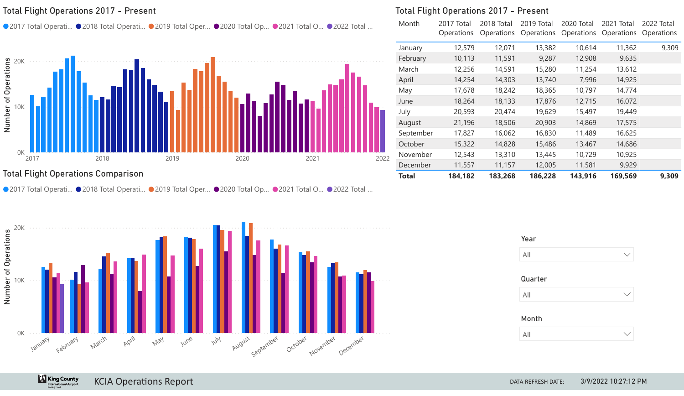#### Total Flight Operations 2017 - Present

● 2017 Total Operati... ● 2018 Total Operati... ● 2019 Total Oper... ● 2020 Total Op... ● 2021 Total O… ● 2022 Total …



#### Total Flight Operations Comparison

● 2017 Total Operati... ● 2018 Total Operati... ● 2019 Total Oper... ● 2020 Total Op... ● 2021 Total O… ● 2022 Total …



#### Total Flight Operations 2017 - Present

| Month     | 2017 Total<br>Operations | 2018 Total<br>Operations | 2019 Total<br>Operations | 2020 Total<br>Operations | 2021 Total<br>Operations | 2022 Total<br>Operations |
|-----------|--------------------------|--------------------------|--------------------------|--------------------------|--------------------------|--------------------------|
| January   | 12,579                   | 12,071                   | 13,382                   | 10,614                   | 11,362                   | 9,309                    |
| February  | 10,113                   | 11,591                   | 9,287                    | 12,908                   | 9,635                    |                          |
| March     | 12,256                   | 14,591                   | 15,280                   | 11,254                   | 13,612                   |                          |
| April     | 14,254                   | 14,303                   | 13,740                   | 7,996                    | 14,925                   |                          |
| May       | 17,678                   | 18,242                   | 18,365                   | 10,797                   | 14,774                   |                          |
| June      | 18,264                   | 18,133                   | 17,876                   | 12,715                   | 16,072                   |                          |
| July      | 20,593                   | 20,474                   | 19,629                   | 15,497                   | 19,449                   |                          |
| August    | 21,196                   | 18,506                   | 20,903                   | 14,869                   | 17,575                   |                          |
| September | 17,827                   | 16,062                   | 16,830                   | 11,489                   | 16,625                   |                          |
| October   | 15,322                   | 14,828                   | 15,486                   | 13,467                   | 14,686                   |                          |
| November  | 12,543                   | 13,310                   | 13,445                   | 10,729                   | 10,925                   |                          |
| December  | 11,557                   | 11,157                   | 12,005                   | 11,581                   | 9,929                    |                          |
| Total     | 184,182                  | 183,268                  | 186,228                  | 143,916                  | 169,569                  | 9,309                    |

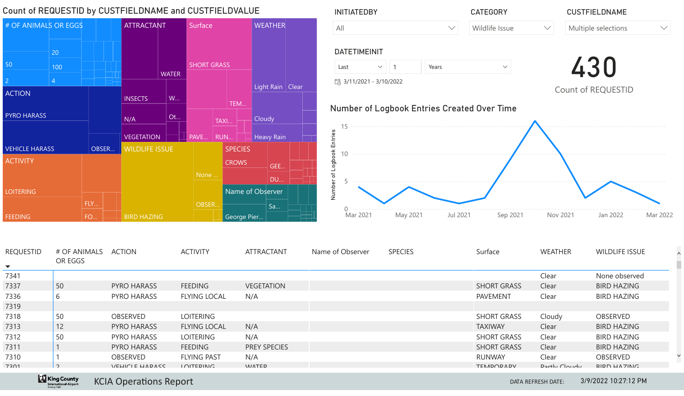

| <b>REQUESTID</b><br>$\blacktriangledown$ | # OF ANIMALS<br>OR EGGS | <b>ACTION</b>      | <b>ACTIVITY</b>     | <b>ATTRACTANT</b>   | Name of Observer | <b>SPECIES</b> | Surface            | <b>WEATHER</b>              | <b>WILDLIFE ISSUE</b> |
|------------------------------------------|-------------------------|--------------------|---------------------|---------------------|------------------|----------------|--------------------|-----------------------------|-----------------------|
| 7341                                     |                         |                    |                     |                     |                  |                |                    | Clear                       | None observed         |
| 7337                                     | 50                      | <b>PYRO HARASS</b> | <b>FEEDING</b>      | <b>VEGETATION</b>   |                  |                | <b>SHORT GRASS</b> | Clear                       | <b>BIRD HAZING</b>    |
| 7336                                     |                         | <b>PYRO HARASS</b> | <b>FLYING LOCAL</b> | N/A                 |                  |                | PAVEMENT           | Clear                       | <b>BIRD HAZING</b>    |
| 7319                                     |                         |                    |                     |                     |                  |                |                    |                             |                       |
| 7318                                     | 50                      | OBSERVED           | <b>LOITERING</b>    |                     |                  |                | <b>SHORT GRASS</b> | Cloudy                      | OBSERVED              |
| 7313                                     | 12                      | PYRO HARASS        | <b>FLYING LOCAL</b> | N/A                 |                  |                | <b>TAXIWAY</b>     | Clear                       | <b>BIRD HAZING</b>    |
| 7312                                     | 50                      | <b>PYRO HARASS</b> | LOITERING           | N/A                 |                  |                | <b>SHORT GRASS</b> | Clear                       | <b>BIRD HAZING</b>    |
| 7311                                     |                         | <b>PYRO HARASS</b> | <b>FEEDING</b>      | <b>PREY SPECIES</b> |                  |                | <b>SHORT GRASS</b> | Clear                       | <b>BIRD HAZING</b>    |
| 7310                                     |                         | <b>OBSERVED</b>    | <b>FLYING PAST</b>  | N/A                 |                  |                | <b>RUNWAY</b>      | Clear                       | <b>OBSERVED</b>       |
| 7201                                     |                         | VELICIE LIADACC    | <b>I QITEDINIC</b>  | <b>IMATED</b>       |                  |                | TEMPOD ADV         | $D_2$ $H_1$ , $C_1$ , $H_2$ | DIDD LIA 7INIC        |

#### King County KCIA Operations Report **DATA REFRESH DATE:**

3/9/2022 10:27:12 PM

 $\lambda$ Ľ

 $\vee$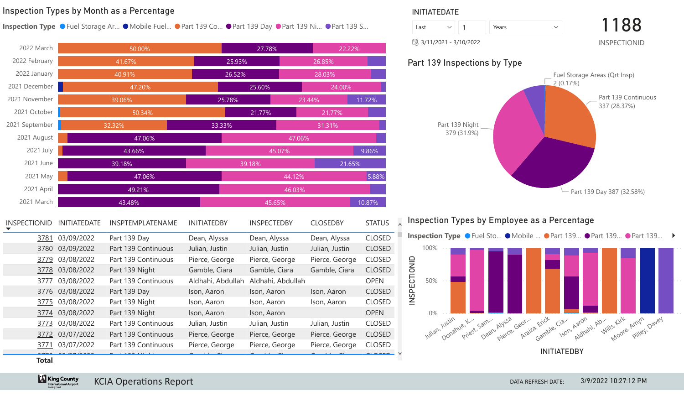#### Inspection Types by Month as a Percentage

**Inspection Type** ● Fuel Storage Ar... ● Mobile Fuel... ● Part 139 Co... ● Part 139 Day ● Part 139 Ni… ● Part 139 S…

| 2022 March     | 50.00% |  | 27.78%           |        |                 | 22.22% |       |
|----------------|--------|--|------------------|--------|-----------------|--------|-------|
| 2022 February  | 41.67% |  | 25.93%           |        | 26.85%          |        |       |
| 2022 January   | 40.91% |  | 26.52%           |        | 28.03%          |        |       |
| 2021 December  | 47.20% |  | 25.60%           |        | 24.00%          |        |       |
| 2021 November  | 39.06% |  | 25.78%           |        | 23.44%          | 11.72% |       |
| 2021 October   | 50.34% |  |                  |        | 21.77%          |        |       |
| 2021 September | 32.32% |  | 33.33%<br>31.31% |        |                 |        |       |
| 2021 August    | 47.06% |  |                  | 47.06% |                 |        |       |
| 2021 July      | 43.66% |  |                  |        | 9.86%<br>45.07% |        |       |
| 2021 June      | 39.18% |  |                  |        |                 | 21.65% |       |
| 2021 May       | 47.06% |  | 44.12%           |        |                 |        | 5.88% |
| 2021 April     | 49.21% |  |                  | 46.03% |                 |        |       |
| 2021 March     | 43.48% |  |                  | 45.65% |                 | 10.87% |       |

| <b>INSPECTIONID</b> | <b>INITIATEDATE</b> | INSPTEMPLATENAME    | <b>INITIATEDBY</b> | <b>INSPECTEDBY</b> | <b>CLOSEDBY</b> | <b>STATUS</b> |  |
|---------------------|---------------------|---------------------|--------------------|--------------------|-----------------|---------------|--|
| 3781                | 03/09/2022          | Part 139 Day        | Dean, Alyssa       | Dean, Alyssa       | Dean, Alyssa    | <b>CLOSED</b> |  |
| 3780                | 03/09/2022          | Part 139 Continuous | Julian, Justin     | Julian, Justin     | Julian, Justin  | <b>CLOSED</b> |  |
| 3779                | 03/08/2022          | Part 139 Continuous | Pierce, George     | Pierce, George     | Pierce, George  | <b>CLOSED</b> |  |
|                     | 3778 03/08/2022     | Part 139 Night      | Gamble, Ciara      | Gamble, Ciara      | Gamble, Ciara   | <b>CLOSED</b> |  |
| 3777                | 03/08/2022          | Part 139 Continuous | Aldhahi, Abdullah  | Aldhahi, Abdullah  |                 | <b>OPEN</b>   |  |
|                     | 3776 03/08/2022     | Part 139 Day        | Ison, Aaron        | Ison, Aaron        | Ison, Aaron     | <b>CLOSED</b> |  |
|                     | 3775 03/08/2022     | Part 139 Night      | Ison, Aaron        | Ison, Aaron        | Ison, Aaron     | <b>CLOSED</b> |  |
|                     | 3774 03/08/2022     | Part 139 Night      | Ison, Aaron        | Ison, Aaron        |                 | <b>OPEN</b>   |  |
| <u>3773</u>         | 03/08/2022          | Part 139 Continuous | Julian, Justin     | Julian, Justin     | Julian, Justin  | <b>CLOSED</b> |  |
|                     | 3772 03/07/2022     | Part 139 Continuous | Pierce, George     | Pierce, George     | Pierce, George  | <b>CLOSED</b> |  |
| <u>3771</u>         | 03/07/2022          | Part 139 Continuous | Pierce, George     | Pierce, George     | Pierce, George  | <b>CLOSED</b> |  |
|                     |                     |                     |                    |                    |                 |               |  |

#### INITIATEDATE

| Last |                                               | Years |  | 1188 |  |  |  |
|------|-----------------------------------------------|-------|--|------|--|--|--|
|      | 引3/11/2021 - 3/10/2022<br><b>INSPECTIONID</b> |       |  |      |  |  |  |

3/11/2021 - 3/10/2022

#### Part 139 Inspections by Type





[3770](http://airportcityworks/AMS/WorkManagement/InspectionEdit.aspx?InspectionId=3770) **Total**